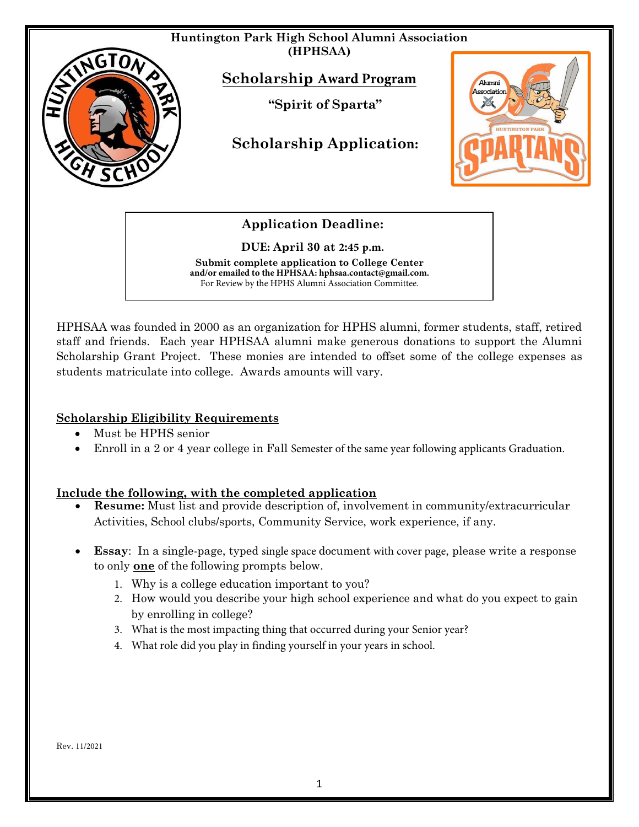

**Application Deadline:** 

**DUE: April 30 at 2:45 p.m.**

**Submit complete application to College Center and/or emailed to the HPHSAA: hphsaa.contact@gmail.com.** For Review by the HPHS Alumni Association Committee.

HPHSAA was founded in 2000 as an organization for HPHS alumni, former students, staff, retired staff and friends. Each year HPHSAA alumni make generous donations to support the Alumni Scholarship Grant Project. These monies are intended to offset some of the college expenses as students matriculate into college. Awards amounts will vary.

## **Scholarship Eligibility Requirements**

- Must be HPHS senior
- Enroll in a 2 or 4 year college in Fall Semester of the same year following applicants Graduation.

## **Include the following, with the completed application**

- **Resume:** Must list and provide description of, involvement in community/extracurricular Activities, School clubs/sports, Community Service, work experience, if any.
- **Essay**: In a single-page, typed single space document with cover page, please write a response to only **one** of the following prompts below.
	- 1. Why is a college education important to you?
	- 2. How would you describe your high school experience and what do you expect to gain by enrolling in college?
	- 3. What is the most impacting thing that occurred during your Senior year?
	- 4. What role did you play in finding yourself in your years in school.

Rev. 11/2021